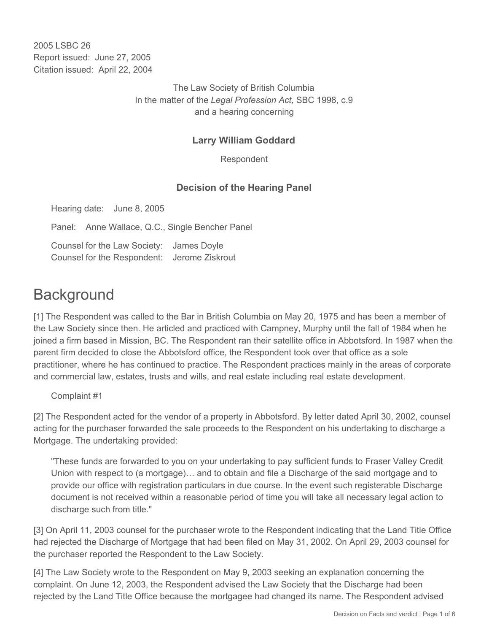2005 LSBC 26 Report issued: June 27, 2005 Citation issued: April 22, 2004

> The Law Society of British Columbia In the matter of the *Legal Profession Act*, SBC 1998, c.9 and a hearing concerning

## **Larry William Goddard**

Respondent

## **Decision of the Hearing Panel**

Hearing date: June 8, 2005

Panel: Anne Wallace, Q.C., Single Bencher Panel

Counsel for the Law Society: James Doyle Counsel for the Respondent: Jerome Ziskrout

# **Background**

[1] The Respondent was called to the Bar in British Columbia on May 20, 1975 and has been a member of the Law Society since then. He articled and practiced with Campney, Murphy until the fall of 1984 when he joined a firm based in Mission, BC. The Respondent ran their satellite office in Abbotsford. In 1987 when the parent firm decided to close the Abbotsford office, the Respondent took over that office as a sole practitioner, where he has continued to practice. The Respondent practices mainly in the areas of corporate and commercial law, estates, trusts and wills, and real estate including real estate development.

Complaint #1

[2] The Respondent acted for the vendor of a property in Abbotsford. By letter dated April 30, 2002, counsel acting for the purchaser forwarded the sale proceeds to the Respondent on his undertaking to discharge a Mortgage. The undertaking provided:

"These funds are forwarded to you on your undertaking to pay sufficient funds to Fraser Valley Credit Union with respect to (a mortgage)… and to obtain and file a Discharge of the said mortgage and to provide our office with registration particulars in due course. In the event such registerable Discharge document is not received within a reasonable period of time you will take all necessary legal action to discharge such from title."

[3] On April 11, 2003 counsel for the purchaser wrote to the Respondent indicating that the Land Title Office had rejected the Discharge of Mortgage that had been filed on May 31, 2002. On April 29, 2003 counsel for the purchaser reported the Respondent to the Law Society.

[4] The Law Society wrote to the Respondent on May 9, 2003 seeking an explanation concerning the complaint. On June 12, 2003, the Respondent advised the Law Society that the Discharge had been rejected by the Land Title Office because the mortgagee had changed its name. The Respondent advised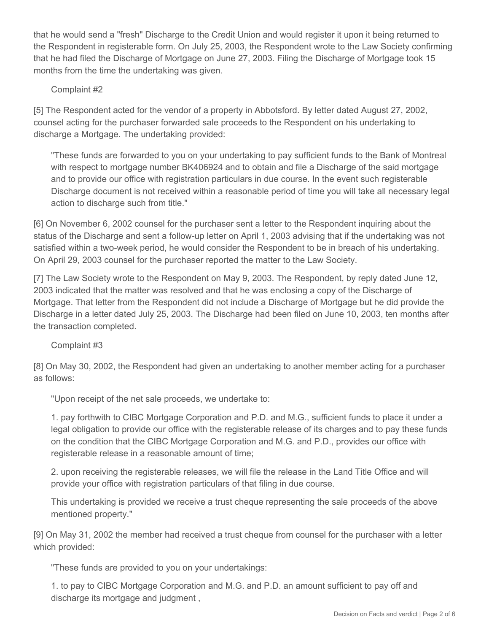that he would send a "fresh" Discharge to the Credit Union and would register it upon it being returned to the Respondent in registerable form. On July 25, 2003, the Respondent wrote to the Law Society confirming that he had filed the Discharge of Mortgage on June 27, 2003. Filing the Discharge of Mortgage took 15 months from the time the undertaking was given.

### Complaint #2

[5] The Respondent acted for the vendor of a property in Abbotsford. By letter dated August 27, 2002, counsel acting for the purchaser forwarded sale proceeds to the Respondent on his undertaking to discharge a Mortgage. The undertaking provided:

"These funds are forwarded to you on your undertaking to pay sufficient funds to the Bank of Montreal with respect to mortgage number BK406924 and to obtain and file a Discharge of the said mortgage and to provide our office with registration particulars in due course. In the event such registerable Discharge document is not received within a reasonable period of time you will take all necessary legal action to discharge such from title."

[6] On November 6, 2002 counsel for the purchaser sent a letter to the Respondent inquiring about the status of the Discharge and sent a follow-up letter on April 1, 2003 advising that if the undertaking was not satisfied within a two-week period, he would consider the Respondent to be in breach of his undertaking. On April 29, 2003 counsel for the purchaser reported the matter to the Law Society.

[7] The Law Society wrote to the Respondent on May 9, 2003. The Respondent, by reply dated June 12, 2003 indicated that the matter was resolved and that he was enclosing a copy of the Discharge of Mortgage. That letter from the Respondent did not include a Discharge of Mortgage but he did provide the Discharge in a letter dated July 25, 2003. The Discharge had been filed on June 10, 2003, ten months after the transaction completed.

#### Complaint #3

[8] On May 30, 2002, the Respondent had given an undertaking to another member acting for a purchaser as follows:

"Upon receipt of the net sale proceeds, we undertake to:

1. pay forthwith to CIBC Mortgage Corporation and P.D. and M.G., sufficient funds to place it under a legal obligation to provide our office with the registerable release of its charges and to pay these funds on the condition that the CIBC Mortgage Corporation and M.G. and P.D., provides our office with registerable release in a reasonable amount of time;

2. upon receiving the registerable releases, we will file the release in the Land Title Office and will provide your office with registration particulars of that filing in due course.

This undertaking is provided we receive a trust cheque representing the sale proceeds of the above mentioned property."

[9] On May 31, 2002 the member had received a trust cheque from counsel for the purchaser with a letter which provided:

"These funds are provided to you on your undertakings:

1. to pay to CIBC Mortgage Corporation and M.G. and P.D. an amount sufficient to pay off and discharge its mortgage and judgment ,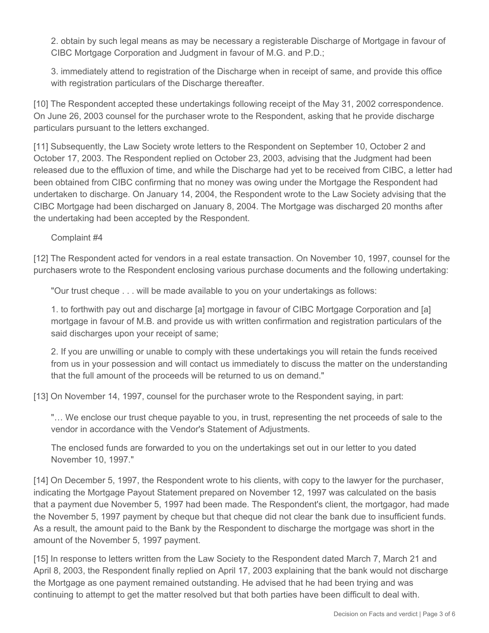2. obtain by such legal means as may be necessary a registerable Discharge of Mortgage in favour of CIBC Mortgage Corporation and Judgment in favour of M.G. and P.D.;

3. immediately attend to registration of the Discharge when in receipt of same, and provide this office with registration particulars of the Discharge thereafter.

[10] The Respondent accepted these undertakings following receipt of the May 31, 2002 correspondence. On June 26, 2003 counsel for the purchaser wrote to the Respondent, asking that he provide discharge particulars pursuant to the letters exchanged.

[11] Subsequently, the Law Society wrote letters to the Respondent on September 10, October 2 and October 17, 2003. The Respondent replied on October 23, 2003, advising that the Judgment had been released due to the effluxion of time, and while the Discharge had yet to be received from CIBC, a letter had been obtained from CIBC confirming that no money was owing under the Mortgage the Respondent had undertaken to discharge. On January 14, 2004, the Respondent wrote to the Law Society advising that the CIBC Mortgage had been discharged on January 8, 2004. The Mortgage was discharged 20 months after the undertaking had been accepted by the Respondent.

Complaint #4

[12] The Respondent acted for vendors in a real estate transaction. On November 10, 1997, counsel for the purchasers wrote to the Respondent enclosing various purchase documents and the following undertaking:

"Our trust cheque . . . will be made available to you on your undertakings as follows:

1. to forthwith pay out and discharge [a] mortgage in favour of CIBC Mortgage Corporation and [a] mortgage in favour of M.B. and provide us with written confirmation and registration particulars of the said discharges upon your receipt of same;

2. If you are unwilling or unable to comply with these undertakings you will retain the funds received from us in your possession and will contact us immediately to discuss the matter on the understanding that the full amount of the proceeds will be returned to us on demand."

[13] On November 14, 1997, counsel for the purchaser wrote to the Respondent saying, in part:

"… We enclose our trust cheque payable to you, in trust, representing the net proceeds of sale to the vendor in accordance with the Vendor's Statement of Adjustments.

The enclosed funds are forwarded to you on the undertakings set out in our letter to you dated November 10, 1997."

[14] On December 5, 1997, the Respondent wrote to his clients, with copy to the lawyer for the purchaser, indicating the Mortgage Payout Statement prepared on November 12, 1997 was calculated on the basis that a payment due November 5, 1997 had been made. The Respondent's client, the mortgagor, had made the November 5, 1997 payment by cheque but that cheque did not clear the bank due to insufficient funds. As a result, the amount paid to the Bank by the Respondent to discharge the mortgage was short in the amount of the November 5, 1997 payment.

[15] In response to letters written from the Law Society to the Respondent dated March 7, March 21 and April 8, 2003, the Respondent finally replied on April 17, 2003 explaining that the bank would not discharge the Mortgage as one payment remained outstanding. He advised that he had been trying and was continuing to attempt to get the matter resolved but that both parties have been difficult to deal with.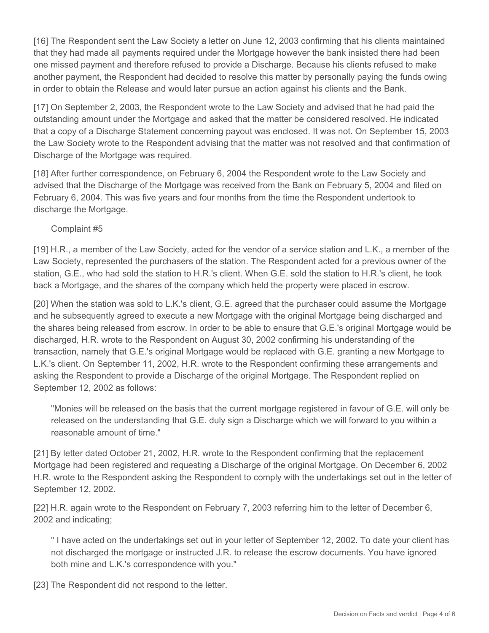[16] The Respondent sent the Law Society a letter on June 12, 2003 confirming that his clients maintained that they had made all payments required under the Mortgage however the bank insisted there had been one missed payment and therefore refused to provide a Discharge. Because his clients refused to make another payment, the Respondent had decided to resolve this matter by personally paying the funds owing in order to obtain the Release and would later pursue an action against his clients and the Bank.

[17] On September 2, 2003, the Respondent wrote to the Law Society and advised that he had paid the outstanding amount under the Mortgage and asked that the matter be considered resolved. He indicated that a copy of a Discharge Statement concerning payout was enclosed. It was not. On September 15, 2003 the Law Society wrote to the Respondent advising that the matter was not resolved and that confirmation of Discharge of the Mortgage was required.

[18] After further correspondence, on February 6, 2004 the Respondent wrote to the Law Society and advised that the Discharge of the Mortgage was received from the Bank on February 5, 2004 and filed on February 6, 2004. This was five years and four months from the time the Respondent undertook to discharge the Mortgage.

Complaint #5

[19] H.R., a member of the Law Society, acted for the vendor of a service station and L.K., a member of the Law Society, represented the purchasers of the station. The Respondent acted for a previous owner of the station, G.E., who had sold the station to H.R.'s client. When G.E. sold the station to H.R.'s client, he took back a Mortgage, and the shares of the company which held the property were placed in escrow.

[20] When the station was sold to L.K.'s client, G.E. agreed that the purchaser could assume the Mortgage and he subsequently agreed to execute a new Mortgage with the original Mortgage being discharged and the shares being released from escrow. In order to be able to ensure that G.E.'s original Mortgage would be discharged, H.R. wrote to the Respondent on August 30, 2002 confirming his understanding of the transaction, namely that G.E.'s original Mortgage would be replaced with G.E. granting a new Mortgage to L.K.'s client. On September 11, 2002, H.R. wrote to the Respondent confirming these arrangements and asking the Respondent to provide a Discharge of the original Mortgage. The Respondent replied on September 12, 2002 as follows:

"Monies will be released on the basis that the current mortgage registered in favour of G.E. will only be released on the understanding that G.E. duly sign a Discharge which we will forward to you within a reasonable amount of time."

[21] By letter dated October 21, 2002, H.R. wrote to the Respondent confirming that the replacement Mortgage had been registered and requesting a Discharge of the original Mortgage. On December 6, 2002 H.R. wrote to the Respondent asking the Respondent to comply with the undertakings set out in the letter of September 12, 2002.

[22] H.R. again wrote to the Respondent on February 7, 2003 referring him to the letter of December 6, 2002 and indicating;

" I have acted on the undertakings set out in your letter of September 12, 2002. To date your client has not discharged the mortgage or instructed J.R. to release the escrow documents. You have ignored both mine and L.K.'s correspondence with you."

[23] The Respondent did not respond to the letter.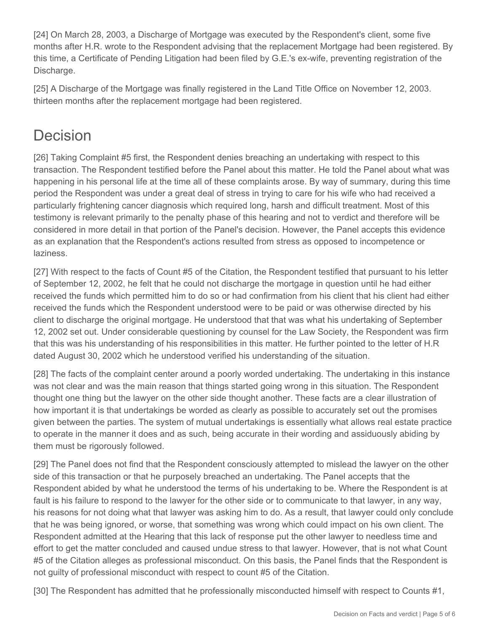[24] On March 28, 2003, a Discharge of Mortgage was executed by the Respondent's client, some five months after H.R. wrote to the Respondent advising that the replacement Mortgage had been registered. By this time, a Certificate of Pending Litigation had been filed by G.E.'s ex-wife, preventing registration of the Discharge.

[25] A Discharge of the Mortgage was finally registered in the Land Title Office on November 12, 2003. thirteen months after the replacement mortgage had been registered.

## **Decision**

[26] Taking Complaint #5 first, the Respondent denies breaching an undertaking with respect to this transaction. The Respondent testified before the Panel about this matter. He told the Panel about what was happening in his personal life at the time all of these complaints arose. By way of summary, during this time period the Respondent was under a great deal of stress in trying to care for his wife who had received a particularly frightening cancer diagnosis which required long, harsh and difficult treatment. Most of this testimony is relevant primarily to the penalty phase of this hearing and not to verdict and therefore will be considered in more detail in that portion of the Panel's decision. However, the Panel accepts this evidence as an explanation that the Respondent's actions resulted from stress as opposed to incompetence or laziness.

[27] With respect to the facts of Count #5 of the Citation, the Respondent testified that pursuant to his letter of September 12, 2002, he felt that he could not discharge the mortgage in question until he had either received the funds which permitted him to do so or had confirmation from his client that his client had either received the funds which the Respondent understood were to be paid or was otherwise directed by his client to discharge the original mortgage. He understood that that was what his undertaking of September 12, 2002 set out. Under considerable questioning by counsel for the Law Society, the Respondent was firm that this was his understanding of his responsibilities in this matter. He further pointed to the letter of H.R dated August 30, 2002 which he understood verified his understanding of the situation.

[28] The facts of the complaint center around a poorly worded undertaking. The undertaking in this instance was not clear and was the main reason that things started going wrong in this situation. The Respondent thought one thing but the lawyer on the other side thought another. These facts are a clear illustration of how important it is that undertakings be worded as clearly as possible to accurately set out the promises given between the parties. The system of mutual undertakings is essentially what allows real estate practice to operate in the manner it does and as such, being accurate in their wording and assiduously abiding by them must be rigorously followed.

[29] The Panel does not find that the Respondent consciously attempted to mislead the lawyer on the other side of this transaction or that he purposely breached an undertaking. The Panel accepts that the Respondent abided by what he understood the terms of his undertaking to be. Where the Respondent is at fault is his failure to respond to the lawyer for the other side or to communicate to that lawyer, in any way, his reasons for not doing what that lawyer was asking him to do. As a result, that lawyer could only conclude that he was being ignored, or worse, that something was wrong which could impact on his own client. The Respondent admitted at the Hearing that this lack of response put the other lawyer to needless time and effort to get the matter concluded and caused undue stress to that lawyer. However, that is not what Count #5 of the Citation alleges as professional misconduct. On this basis, the Panel finds that the Respondent is not guilty of professional misconduct with respect to count #5 of the Citation.

[30] The Respondent has admitted that he professionally misconducted himself with respect to Counts #1,